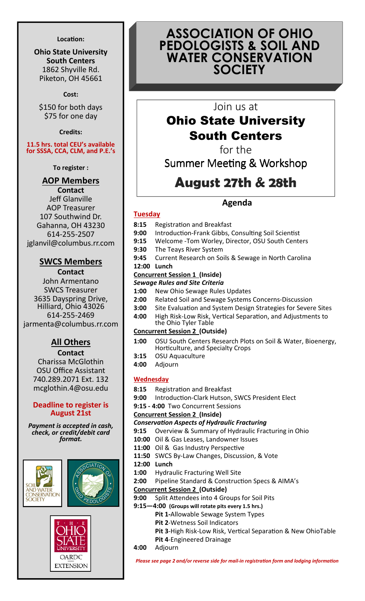#### Location:

Ohio State University South Centers 1862 Shyville Rd. Piketon, OH 45661

Cost:

\$150 for both days \$75 for one day

Credits:

11.5 hrs. total CEU's available for SSSA, CCA, CLM, and P.E.'s

To register :

# AOP Members

**Contact** Jeff Glanville AOP Treasurer 107 Southwind Dr. Gahanna, OH 43230 614-255-2507 jglanvil@columbus.rr.com

## SWCS Members

Contact John Armentano SWCS Treasurer 3635 Dayspring Drive, Hilliard, Ohio 43026 614-255-2469 jarmenta@columbus.rr.com

# **All Others**

**Contact** Charissa McGlothin OSU Office Assistant 740.289.2071 Ext. 132 mcglothin.4@osu.edu

### Deadline to register is August 21st

Payment is accepted in cash, check, or credit/debit card format.





# ASSOCIATION OF OHIO PEDOLOGISTS & SOIL AND WATER CONSERVATION **SOCIETY**

# Join us at

# Ohio State University South Centers

for the

Summer Meeting & Workshop

# August 27th & 28th

# Agenda

## **Tuesday**

- 8:15 Registration and Breakfast
- 9:00 Introduction-Frank Gibbs, Consulting Soil Scientist
- 9:15 Welcome -Tom Worley, Director, OSU South Centers
- 9:30 The Teays River System
- 9:45 Current Research on Soils & Sewage in North Carolina
- 12:00 Lunch

### Concurrent Session 1 (Inside)

#### Sewage Rules and Site Criteria

- 1:00 New Ohio Sewage Rules Updates
- 2:00 Related Soil and Sewage Systems Concerns-Discussion
- **3:00** Site Evaluation and System Design Strategies for Severe Sites
- 4:00 High Risk-Low Risk, Vertical Separation, and Adjustments to the Ohio Tyler Table

## Concurrent Session 2 (Outside)

- 1:00 OSU South Centers Research Plots on Soil & Water, Bioenergy, Horticulture, and Specialty Crops
- 3:15 OSU Aquaculture
- 4:00 Adjourn

#### **Wednesday**

- 8:15 Registration and Breakfast
- 9:00 Introduction-Clark Hutson, SWCS President Elect
- 9:15 4:00 Two Concurrent Sessions

Concurrent Session 2 (Inside)

#### **Conservation Aspects of Hydraulic Fracturing**

- 9:15 Overview & Summary of Hydraulic Fracturing in Ohio
- 10:00 Oil & Gas Leases, Landowner Issues
- 11:00 Oil & Gas Industry Perspective
- 11:50 SWCS By-Law Changes, Discussion, & Vote
- 12:00 Lunch
- 1:00 Hydraulic Fracturing Well Site
- 2:00 Pipeline Standard & Construction Specs & AIMA's
- Concurrent Session 2 (Outside)
- 9:00 Split Attendees into 4 Groups for Soil Pits
- 9:15—4:00 (Groups will rotate pits every 1.5 hrs.)
	- Pit 1-Allowable Sewage System Types
	- Pit 2-Wetness Soil Indicators
	- Pit 3-High Risk-Low Risk, Vertical Separation & New OhioTable
	- Pit 4-Engineered Drainage
- 4:00 Adjourn

Please see page 2 and/or reverse side for mail-in registration form and lodging information